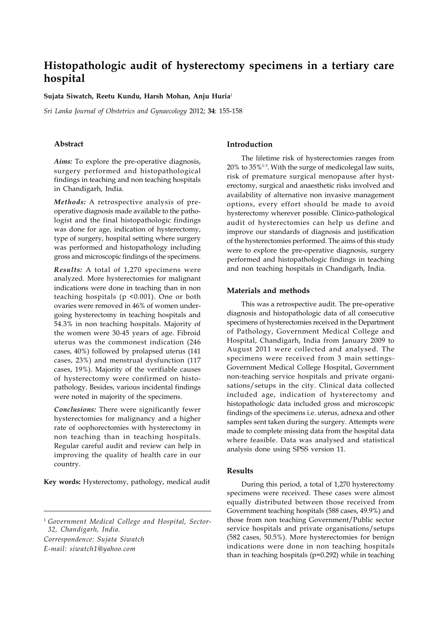# **Histopathologic audit of hysterectomy specimens in a tertiary care hospital**

**Sujata Siwatch, Reetu Kundu, Harsh Mohan, Anju Huria**<sup>1</sup>

*Sri Lanka Journal of Obstetrics and Gynaecology* 2012; **34**: 155-158

## **Abstract**

*Aims:* To explore the pre-operative diagnosis, surgery performed and histopathological findings in teaching and non teaching hospitals in Chandigarh, India.

*Methods:* A retrospective analysis of preoperative diagnosis made available to the pathologist and the final histopathologic findings was done for age, indication of hysterectomy, type of surgery, hospital setting where surgery was performed and histopathology including gross and microscopic findings of the specimens.

*Results:* A total of 1,270 specimens were analyzed. More hysterectomies for malignant indications were done in teaching than in non teaching hospitals (p <0.001). One or both ovaries were removed in 46% of women undergoing hysterectomy in teaching hospitals and 54.3% in non teaching hospitals. Majority of the women were 30-45 years of age. Fibroid uterus was the commonest indication (246 cases, 40%) followed by prolapsed uterus (141 cases, 23%) and menstrual dysfunction (117 cases, 19%). Majority of the verifiable causes of hysterectomy were confirmed on histopathology. Besides, various incidental findings were noted in majority of the specimens.

*Conclusions:* There were significantly fewer hysterectomies for malignancy and a higher rate of oophorectomies with hysterectomy in non teaching than in teaching hospitals. Regular careful audit and review can help in improving the quality of health care in our country.

**Key words:** Hysterectomy, pathology, medical audit

*Correspondence: Sujata Siwatch*

*E-mail: siwatch1@yahoo.com*

## **Introduction**

The lifetime risk of hysterectomies ranges from 20% to 35%1-3. With the surge of medicolegal law suits, risk of premature surgical menopause after hysterectomy, surgical and anaesthetic risks involved and availability of alternative non invasive management options, every effort should be made to avoid hysterectomy wherever possible. Clinico-pathological audit of hysterectomies can help us define and improve our standards of diagnosis and justification of the hysterectomies performed. The aims of this study were to explore the pre-operative diagnosis, surgery performed and histopathologic findings in teaching and non teaching hospitals in Chandigarh, India.

### **Materials and methods**

This was a retrospective audit. The pre-operative diagnosis and histopathologic data of all consecutive specimens of hysterectomies received in the Department of Pathology, Government Medical College and Hospital, Chandigarh, India from January 2009 to August 2011 were collected and analysed. The specimens were received from 3 main settings-Government Medical College Hospital, Government non-teaching service hospitals and private organisations/setups in the city. Clinical data collected included age, indication of hysterectomy and histopathologic data included gross and microscopic findings of the specimens i.e. uterus, adnexa and other samples sent taken during the surgery. Attempts were made to complete missing data from the hospital data where feasible. Data was analysed and statistical analysis done using SPSS version 11.

# **Results**

During this period, a total of 1,270 hysterectomy specimens were received. These cases were almost equally distributed between those received from Government teaching hospitals (588 cases, 49.9%) and those from non teaching Government/Public sector service hospitals and private organisations/setups (582 cases, 50.5%). More hysterectomies for benign indications were done in non teaching hospitals than in teaching hospitals (p=0.292) while in teaching

<sup>1</sup> *Government Medical College and Hospital, Sector-32, Chandigarh, India.*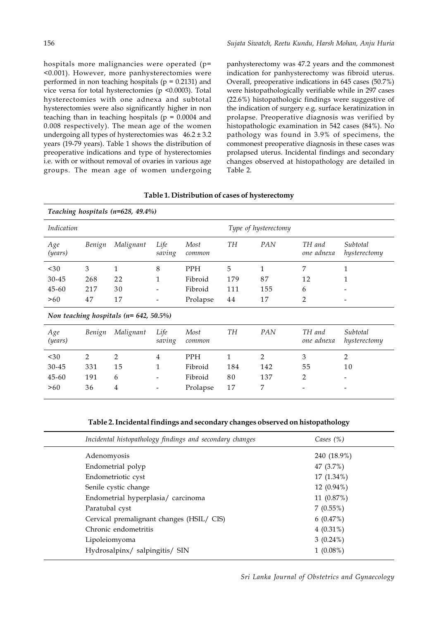hospitals more malignancies were operated (p= <0.001). However, more panhysterectomies were performed in non teaching hospitals ( $p = 0.2131$ ) and vice versa for total hysterectomies (p <0.0003). Total hysterectomies with one adnexa and subtotal hysterectomies were also significantly higher in non teaching than in teaching hospitals ( $p = 0.0004$  and 0.008 respectively). The mean age of the women undergoing all types of hysterectomies was  $46.2 \pm 3.2$ years (19-79 years). Table 1 shows the distribution of preoperative indications and type of hysterectomies i.e. with or without removal of ovaries in various age groups. The mean age of women undergoing

panhysterectomy was 47.2 years and the commonest indication for panhysterectomy was fibroid uterus. Overall, preoperative indications in 645 cases (50.7%) were histopathologically verifiable while in 297 cases (22.6%) histopathologic findings were suggestive of the indication of surgery e.g. surface keratinization in prolapse. Preoperative diagnosis was verified by histopathologic examination in 542 cases (84%). No pathology was found in 3.9% of specimens, the commonest preoperative diagnosis in these cases was prolapsed uterus. Incidental findings and secondary changes observed at histopathology are detailed in Table 2.

| Teaching hospitals ( $n=628$ , 49.4%)        |                |                |                          |                |              |                      |                      |                          |  |  |  |
|----------------------------------------------|----------------|----------------|--------------------------|----------------|--------------|----------------------|----------------------|--------------------------|--|--|--|
| Indication                                   |                |                |                          |                |              | Type of hysterectomy |                      |                          |  |  |  |
| Age<br>(years)                               | Benign         | Malignant      | Life<br>saving           | Most<br>common | TH           | PAN                  | TH and<br>one adnexa | Subtotal<br>hysterectomy |  |  |  |
| $30$                                         | 3              | 1              | 8                        | <b>PPH</b>     | 5            | 1                    | 7                    | $\mathbf{1}$             |  |  |  |
| $30 - 45$                                    | 268            | 22             | 1                        | Fibroid        | 179          | 87                   | 12                   | 1                        |  |  |  |
| $45 - 60$                                    | 217            | 30             | -                        | Fibroid        | 111          | 155                  | 6                    |                          |  |  |  |
| >60                                          | 47             | 17             | -                        | Prolapse       | 44           | 17                   | 2                    |                          |  |  |  |
| Non teaching hospitals ( $n = 642, 50.5\%$ ) |                |                |                          |                |              |                      |                      |                          |  |  |  |
| Age<br>(years)                               | Benign         | Malignant      | Life<br>saving           | Most<br>common | <b>TH</b>    | PAN                  | TH and<br>one adnexa | Subtotal<br>hysterectomy |  |  |  |
| $30$                                         | $\overline{2}$ | $\overline{2}$ | 4                        | <b>PPH</b>     | $\mathbf{1}$ | $\overline{2}$       | 3                    | $\overline{2}$           |  |  |  |
| $30 - 45$                                    | 331            | 15             | 1                        | Fibroid        | 184          | 142                  | 55                   | 10                       |  |  |  |
| $45 - 60$                                    | 191            | 6              | $\overline{\phantom{a}}$ | Fibroid        | 80           | 137                  | 2                    | -                        |  |  |  |
| >60                                          | 36             | 4              |                          | Prolapse       | 17           | 7                    |                      |                          |  |  |  |

**Table 2. Incidental findings and secondary changes observed on histopathology**

| Incidental histopathology findings and secondary changes | Cases $(\%)$ |  |
|----------------------------------------------------------|--------------|--|
| Adenomyosis                                              | 240 (18.9%)  |  |
| Endometrial polyp                                        | 47 (3.7%)    |  |
| Endometriotic cyst                                       | $17(1.34\%)$ |  |
| Senile cystic change                                     | 12 (0.94%)   |  |
| Endometrial hyperplasia/ carcinoma                       | 11 (0.87%)   |  |
| Paratubal cyst                                           | 7(0.55%)     |  |
| Cervical premalignant changes (HSIL/ CIS)                | 6(0.47%)     |  |
| Chronic endometritis                                     | $4(0.31\%)$  |  |
| Lipoleiomyoma                                            | $3(0.24\%)$  |  |
| Hydrosalpinx/ salpingitis/ SIN                           | $1(0.08\%)$  |  |
|                                                          |              |  |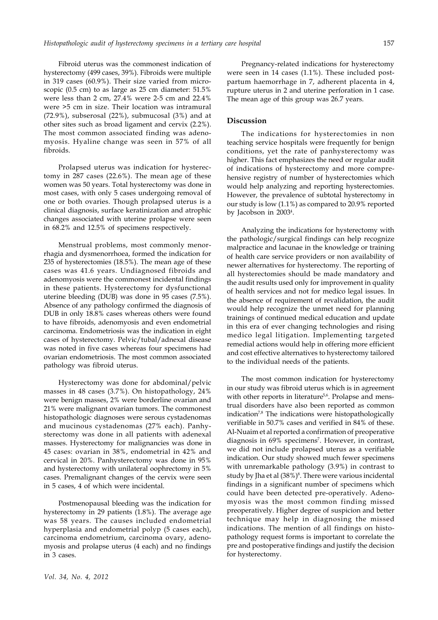Fibroid uterus was the commonest indication of hysterectomy (499 cases, 39%). Fibroids were multiple in 319 cases (60.9%). Their size varied from microscopic (0.5 cm) to as large as 25 cm diameter: 51.5% were less than 2 cm, 27.4% were 2-5 cm and 22.4% were >5 cm in size. Their location was intramural  $(72.9\%)$ , subserosal  $(22\%)$ , submucosal  $(3\%)$  and at other sites such as broad ligament and cervix (2.2%). The most common associated finding was adenomyosis. Hyaline change was seen in 57% of all fibroids.

Prolapsed uterus was indication for hysterectomy in 287 cases (22.6%). The mean age of these women was 50 years. Total hysterectomy was done in most cases, with only 5 cases undergoing removal of one or both ovaries. Though prolapsed uterus is a clinical diagnosis, surface keratinization and atrophic changes associated with uterine prolapse were seen in 68.2% and 12.5% of specimens respectively.

Menstrual problems, most commonly menorrhagia and dysmenorrhoea, formed the indication for 235 of hysterectomies (18.5%). The mean age of these cases was 41.6 years. Undiagnosed fibroids and adenomyosis were the commonest incidental findings in these patients. Hysterectomy for dysfunctional uterine bleeding (DUB) was done in 95 cases (7.5%). Absence of any pathology confirmed the diagnosis of DUB in only 18.8% cases whereas others were found to have fibroids, adenomyosis and even endometrial carcinoma. Endometriosis was the indication in eight cases of hysterectomy. Pelvic/tubal/adnexal disease was noted in five cases whereas four specimens had ovarian endometriosis. The most common associated pathology was fibroid uterus.

Hysterectomy was done for abdominal/pelvic masses in 48 cases (3.7%). On histopathology, 24% were benign masses, 2% were borderline ovarian and 21% were malignant ovarian tumors. The commonest histopathologic diagnoses were serous cystadenomas and mucinous cystadenomas (27% each). Panhysterectomy was done in all patients with adenexal masses. Hysterectomy for malignancies was done in 45 cases: ovarian in 38%, endometrial in 42% and cervical in 20%. Panhysterectomy was done in 95% and hysterectomy with unilateral oophrectomy in 5% cases. Premalignant changes of the cervix were seen in 5 cases, 4 of which were incidental.

Postmenopausal bleeding was the indication for hysterectomy in 29 patients (1.8%). The average age was 58 years. The causes included endometrial hyperplasia and endometrial polyp (5 cases each), carcinoma endometrium, carcinoma ovary, adenomyosis and prolapse uterus (4 each) and no findings in 3 cases.

*Vol. 34, No. 4, 2012*

Pregnancy-related indications for hysterectomy were seen in 14 cases (1.1%). These included postpartum haemorrhage in 7, adherent placenta in 4, rupture uterus in 2 and uterine perforation in 1 case. The mean age of this group was 26.7 years.

# **Discussion**

The indications for hysterectomies in non teaching service hospitals were frequently for benign conditions, yet the rate of panhysterectomy was higher. This fact emphasizes the need or regular audit of indications of hysterectomy and more comprehensive registry of number of hysterectomies which would help analyzing and reporting hysterectomies. However, the prevalence of subtotal hysterectomy in our study is low (1.1%) as compared to 20.9% reported by Jacobson in 20034 .

Analyzing the indications for hysterectomy with the pathologic/surgical findings can help recognize malpractice and lacunae in the knowledge or training of health care service providers or non availability of newer alternatives for hysterectomy. The reporting of all hysterectomies should be made mandatory and the audit results used only for improvement in quality of health services and not for medico legal issues. In the absence of requirement of revalidation, the audit would help recognize the unmet need for planning trainings of continued medical education and update in this era of ever changing technologies and rising medico legal litigation. Implementing targeted remedial actions would help in offering more efficient and cost effective alternatives to hysterectomy tailored to the individual needs of the patients.

The most common indication for hysterectomy in our study was fibroid uterus which is in agreement with other reports in literature<sup>5,6</sup>. Prolapse and menstrual disorders have also been reported as common indication<sup>7,8</sup> The indications were histopathologically verifiable in 50.7% cases and verified in 84% of these. Al-Nuaim et al reported a confirmation of preoperative diagnosis in 69% specimens<sup>7</sup>. However, in contrast, we did not include prolapsed uterus as a verifiable indication. Our study showed much fewer specimens with unremarkable pathology (3.9%) in contrast to study by Jha et al (38%)<sup>8</sup>. There were various incidental findings in a significant number of specimens which could have been detected pre-operatively. Adenomyosis was the most common finding missed preoperatively. Higher degree of suspicion and better technique may help in diagnosing the missed indications. The mention of all findings on histopathology request forms is important to correlate the pre and postoperative findings and justify the decision for hysterectomy.